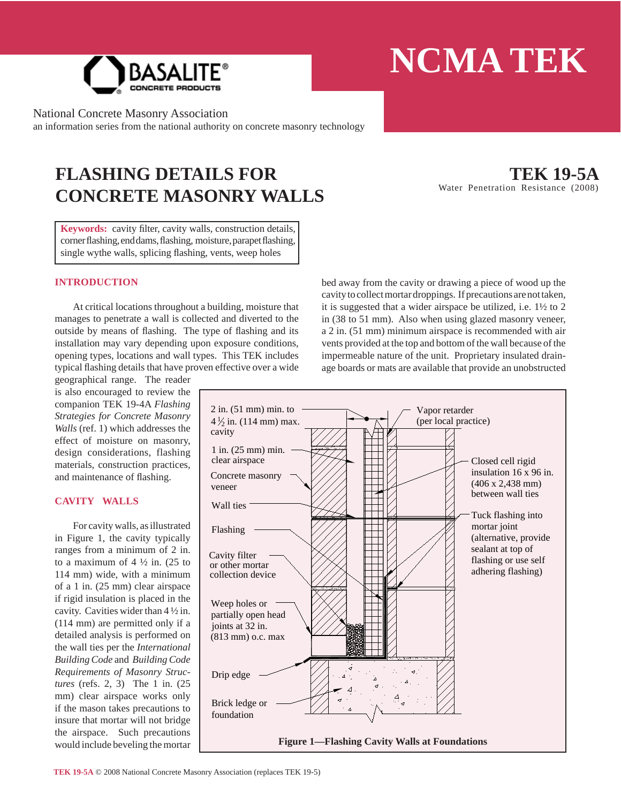

National Concrete Masonry Association

an information series from the national authority on concrete masonry technology

# **FLASHING DETAILS FOR CONCRETE MASONRY WALLS**

**TEK 19-5A** Water Penetration Resistance (2008)

Keywords: cavity filter, cavity walls, construction details, corner flashing, end dams, flashing, moisture, parapet flashing, single wythe walls, splicing flashing, vents, weep holes

## **INTRODUCTION**

 At critical locations throughout a building, moisture that manages to penetrate a wall is collected and diverted to the outside by means of flashing. The type of flashing and its installation may vary depending upon exposure conditions, opening types, locations and wall types. This TEK includes typical flashing details that have proven effective over a wide

geographical range. The reader is also encouraged to review the companion TEK 19-4A *Flashing Strategies for Concrete Masonry Walls* (ref. 1) which addresses the effect of moisture on masonry, design considerations, flashing materials, construction practices, and maintenance of flashing.

## **CAVITY WALLS**

 For cavity walls, as illustrated in Figure 1, the cavity typically ranges from a minimum of 2 in. to a maximum of  $4\frac{1}{2}$  in. (25 to 114 mm) wide, with a minimum of a 1 in. (25 mm) clear airspace if rigid insulation is placed in the cavity. Cavities wider than 4 ½ in. (114 mm) are permitted only if a detailed analysis is performed on the wall ties per the *International Building Code* and *Building Code Requirements of Masonry Structures* (refs. 2, 3) The 1 in. (25 mm) clear airspace works only if the mason takes precautions to insure that mortar will not bridge the airspace. Such precautions would include beveling the mortar bed away from the cavity or drawing a piece of wood up the cavity to collect mortar droppings. If precautions are not taken, it is suggested that a wider airspace be utilized, i.e. 1½ to 2 in (38 to 51 mm). Also when using glazed masonry veneer, a 2 in. (51 mm) minimum airspace is recommended with air vents provided at the top and bottom of the wall because of the impermeable nature of the unit. Proprietary insulated drainage boards or mats are available that provide an unobstructed

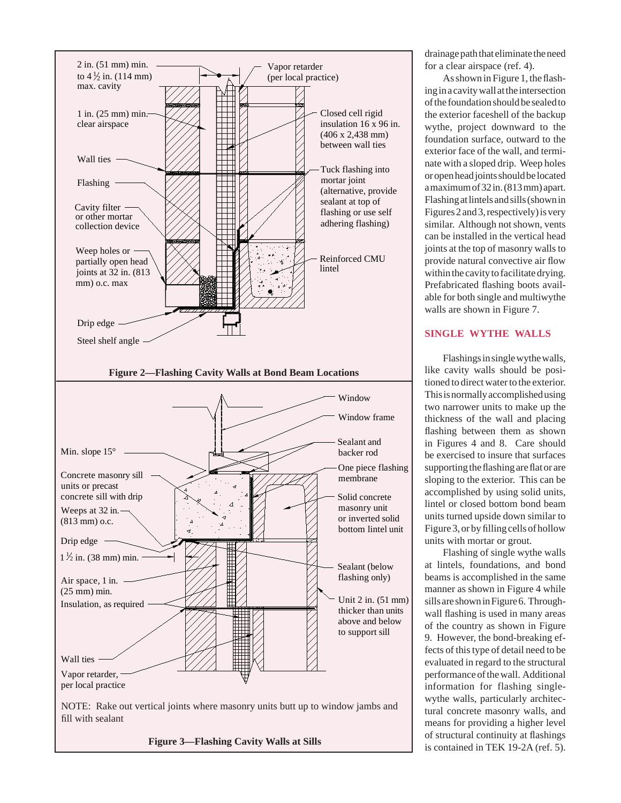

**Figure 3—Flashing Cavity Walls at Sills**

drainage path that eliminate the need for a clear airspace (ref. 4).

As shown in Figure 1, the flashing in a cavity wall at the intersection of the foundation should be sealed to the exterior faceshell of the backup wythe, project downward to the foundation surface, outward to the exterior face of the wall, and terminate with a sloped drip. Weep holes or open head joints should be located a maximum of 32 in. (813 mm) apart. Flashing at lintels and sills (shown in Figures 2 and 3, respectively) is very similar. Although not shown, vents can be installed in the vertical head joints at the top of masonry walls to provide natural convective air flow within the cavity to facilitate drying. Prefabricated flashing boots available for both single and multiwythe walls are shown in Figure 7.

#### **SINGLE WYTHE WALLS**

 Flashings in single wythe walls, like cavity walls should be positioned to direct water to the exterior. This is normally accomplished using two narrower units to make up the thickness of the wall and placing flashing between them as shown in Figures 4 and 8. Care should be exercised to insure that surfaces supporting the flashing are flat or are sloping to the exterior. This can be accomplished by using solid units, lintel or closed bottom bond beam units turned upside down similar to Figure 3, or by filling cells of hollow units with mortar or grout.

 Flashing of single wythe walls at lintels, foundations, and bond beams is accomplished in the same manner as shown in Figure 4 while sills are shown in Figure 6. Throughwall flashing is used in many areas of the country as shown in Figure 9. However, the bond-breaking effects of this type of detail need to be evaluated in regard to the structural performance of the wall. Additional information for flashing singlewythe walls, particularly architectural concrete masonry walls, and means for providing a higher level of structural continuity at flashings is contained in TEK 19-2A (ref. 5).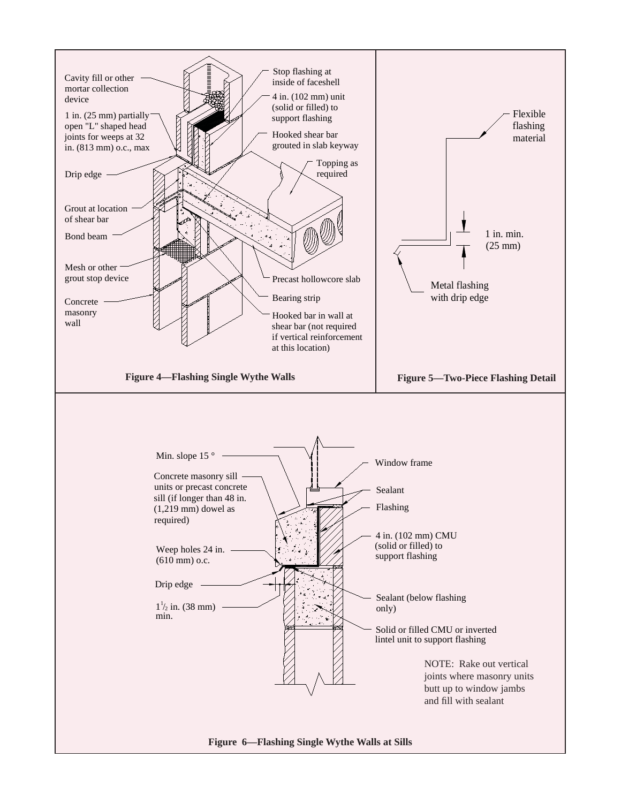![](_page_2_Figure_0.jpeg)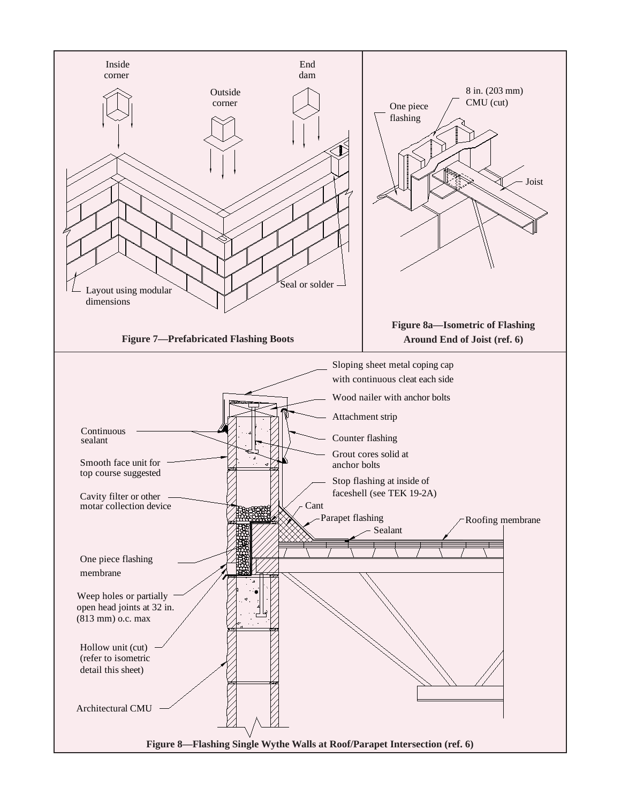![](_page_3_Figure_0.jpeg)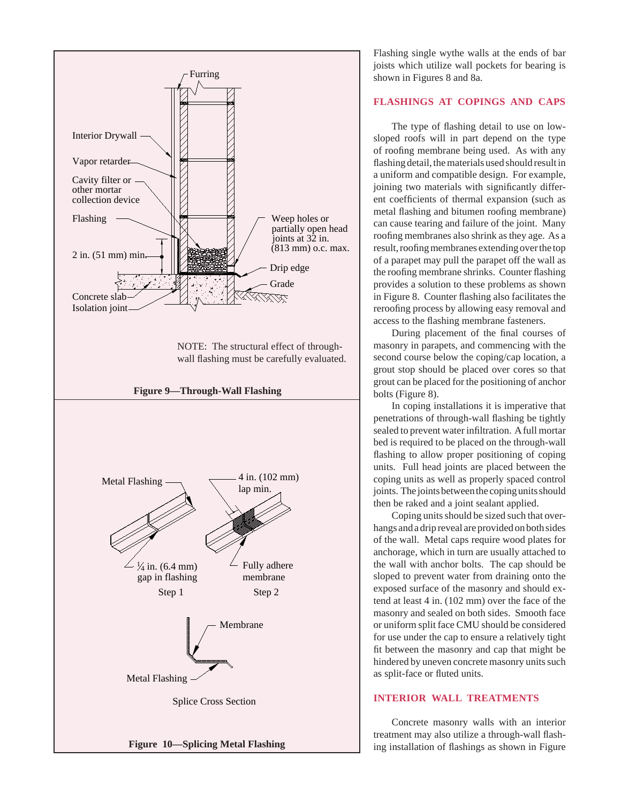![](_page_4_Figure_0.jpeg)

Flashing single wythe walls at the ends of bar joists which utilize wall pockets for bearing is shown in Figures 8 and 8a.

## **FLASHINGS AT COPINGS AND CAPS**

The type of flashing detail to use on lowsloped roofs will in part depend on the type of roofing membrane being used. As with any flashing detail, the materials used should result in a uniform and compatible design. For example, joining two materials with significantly different coefficients of thermal expansion (such as metal flashing and bitumen roofing membrane) can cause tearing and failure of the joint. Many roofing membranes also shrink as they age. As a result, roofing membranes extending over the top of a parapet may pull the parapet off the wall as the roofing membrane shrinks. Counter flashing provides a solution to these problems as shown in Figure 8. Counter flashing also facilitates the reroofing process by allowing easy removal and access to the flashing membrane fasteners.

During placement of the final courses of masonry in parapets, and commencing with the second course below the coping/cap location, a grout stop should be placed over cores so that grout can be placed for the positioning of anchor bolts (Figure 8).

 In coping installations it is imperative that penetrations of through-wall flashing be tightly sealed to prevent water infiltration. A full mortar bed is required to be placed on the through-wall flashing to allow proper positioning of coping units. Full head joints are placed between the coping units as well as properly spaced control joints. The joints between the coping units should then be raked and a joint sealant applied.

 Coping units should be sized such that overhangs and a drip reveal are provided on both sides of the wall. Metal caps require wood plates for anchorage, which in turn are usually attached to the wall with anchor bolts. The cap should be sloped to prevent water from draining onto the exposed surface of the masonry and should extend at least 4 in. (102 mm) over the face of the masonry and sealed on both sides. Smooth face or uniform split face CMU should be considered for use under the cap to ensure a relatively tight fit between the masonry and cap that might be hindered by uneven concrete masonry units such as split-face or fluted units.

## **INTERIOR WALL TREATMENTS**

 Concrete masonry walls with an interior treatment may also utilize a through-wall flashing installation of flashings as shown in Figure